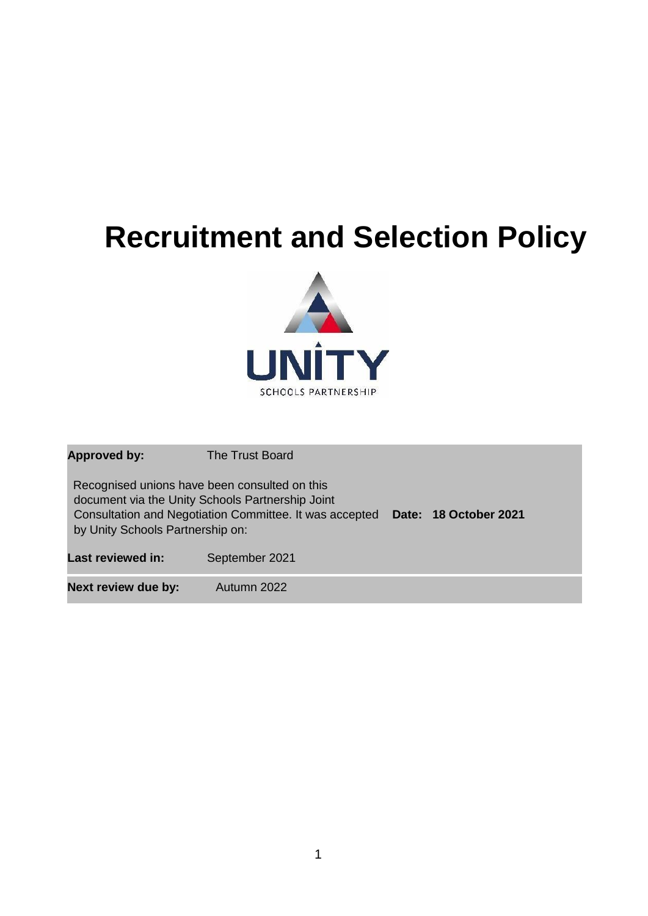# **Recruitment and Selection Policy**



**Approved by:** The Trust Board Recognised unions have been consulted on this document via the Unity Schools Partnership Joint Consultation and Negotiation Committee. It was accepted **Date: 18 October 2021** by Unity Schools Partnership on: Last reviewed in: September 2021 **Next review due by:** Autumn 2022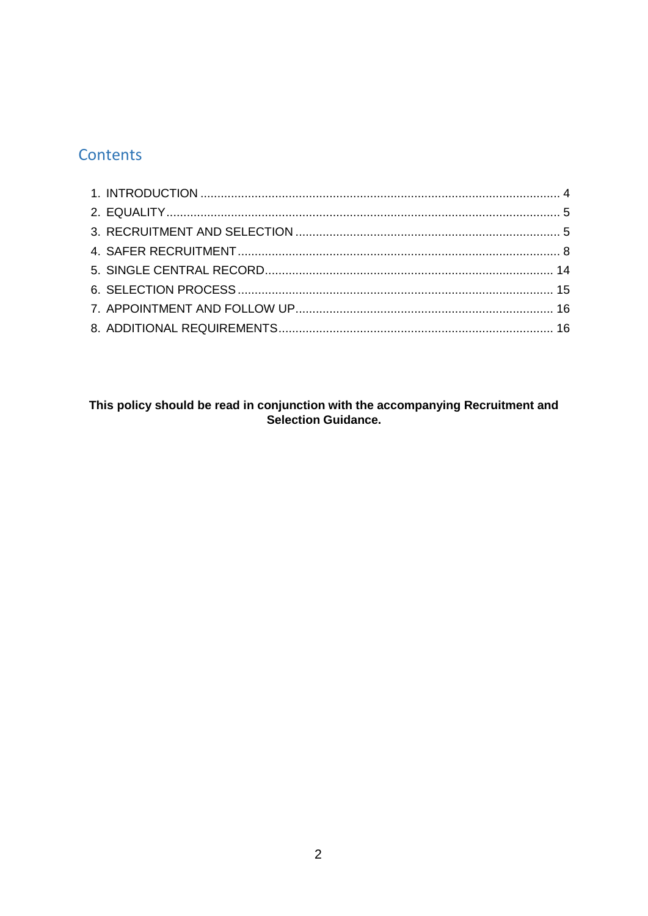# Contents

# This policy should be read in conjunction with the accompanying Recruitment and<br>Selection Guidance.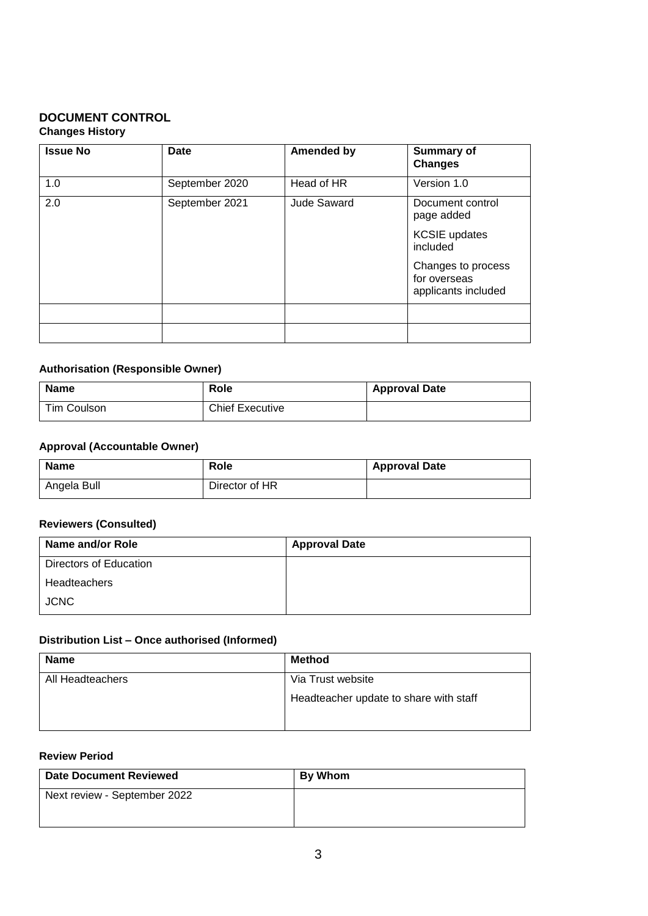## **DOCUMENT CONTROL Changes History**

| <b>Issue No</b> | Date           | <b>Amended by</b> | <b>Summary of</b><br><b>Changes</b>                       |
|-----------------|----------------|-------------------|-----------------------------------------------------------|
| 1.0             | September 2020 | Head of HR        | Version 1.0                                               |
| 2.0             | September 2021 | Jude Saward       | Document control<br>page added                            |
|                 |                |                   | <b>KCSIE</b> updates<br>included                          |
|                 |                |                   | Changes to process<br>for overseas<br>applicants included |
|                 |                |                   |                                                           |
|                 |                |                   |                                                           |

# **Authorisation (Responsible Owner)**

| <b>Name</b> | Role                   | <b>Approval Date</b> |
|-------------|------------------------|----------------------|
| Tim Coulson | <b>Chief Executive</b> |                      |

#### **Approval (Accountable Owner)**

| <b>Name</b> | Role           | <b>Approval Date</b> |
|-------------|----------------|----------------------|
| Angela Bull | Director of HR |                      |

# **Reviewers (Consulted)**

| Name and/or Role       | <b>Approval Date</b> |
|------------------------|----------------------|
| Directors of Education |                      |
| Headteachers           |                      |
| <b>JCNC</b>            |                      |

# **Distribution List – Once authorised (Informed)**

| <b>Name</b>      | <b>Method</b>                          |
|------------------|----------------------------------------|
| All Headteachers | Via Trust website                      |
|                  | Headteacher update to share with staff |

# **Review Period**

| <b>Date Document Reviewed</b> | <b>By Whom</b> |
|-------------------------------|----------------|
| Next review - September 2022  |                |
|                               |                |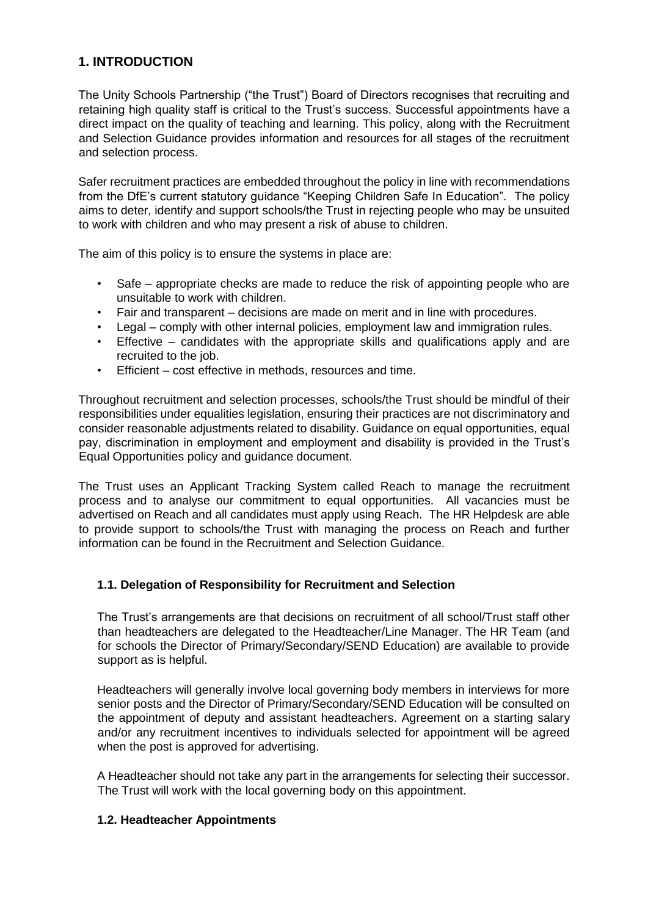# <span id="page-3-0"></span>**1. INTRODUCTION**

The Unity Schools Partnership ("the Trust") Board of Directors recognises that recruiting and retaining high quality staff is critical to the Trust's success. Successful appointments have a direct impact on the quality of teaching and learning. This policy, along with the Recruitment and Selection Guidance provides information and resources for all stages of the recruitment and selection process.

Safer recruitment practices are embedded throughout the policy in line with recommendations from the DfE's current statutory guidance "Keeping Children Safe In Education". The policy aims to deter, identify and support schools/the Trust in rejecting people who may be unsuited to work with children and who may present a risk of abuse to children.

The aim of this policy is to ensure the systems in place are:

- Safe appropriate checks are made to reduce the risk of appointing people who are unsuitable to work with children.
- Fair and transparent decisions are made on merit and in line with procedures.
- Legal comply with other internal policies, employment law and immigration rules.
- Effective candidates with the appropriate skills and qualifications apply and are recruited to the job.
- Efficient cost effective in methods, resources and time.

Throughout recruitment and selection processes, schools/the Trust should be mindful of their responsibilities under equalities legislation, ensuring their practices are not discriminatory and consider reasonable adjustments related to disability. Guidance on equal opportunities, equal pay, discrimination in employment and employment and disability is provided in the Trust's Equal Opportunities policy and guidance document.

The Trust uses an Applicant Tracking System called Reach to manage the recruitment process and to analyse our commitment to equal opportunities. All vacancies must be advertised on Reach and all candidates must apply using Reach. The HR Helpdesk are able to provide support to schools/the Trust with managing the process on Reach and further information can be found in the Recruitment and Selection Guidance.

#### **1.1. Delegation of Responsibility for Recruitment and Selection**

The Trust's arrangements are that decisions on recruitment of all school/Trust staff other than headteachers are delegated to the Headteacher/Line Manager. The HR Team (and for schools the Director of Primary/Secondary/SEND Education) are available to provide support as is helpful.

Headteachers will generally involve local governing body members in interviews for more senior posts and the Director of Primary/Secondary/SEND Education will be consulted on the appointment of deputy and assistant headteachers. Agreement on a starting salary and/or any recruitment incentives to individuals selected for appointment will be agreed when the post is approved for advertising.

A Headteacher should not take any part in the arrangements for selecting their successor. The Trust will work with the local governing body on this appointment.

#### **1.2. Headteacher Appointments**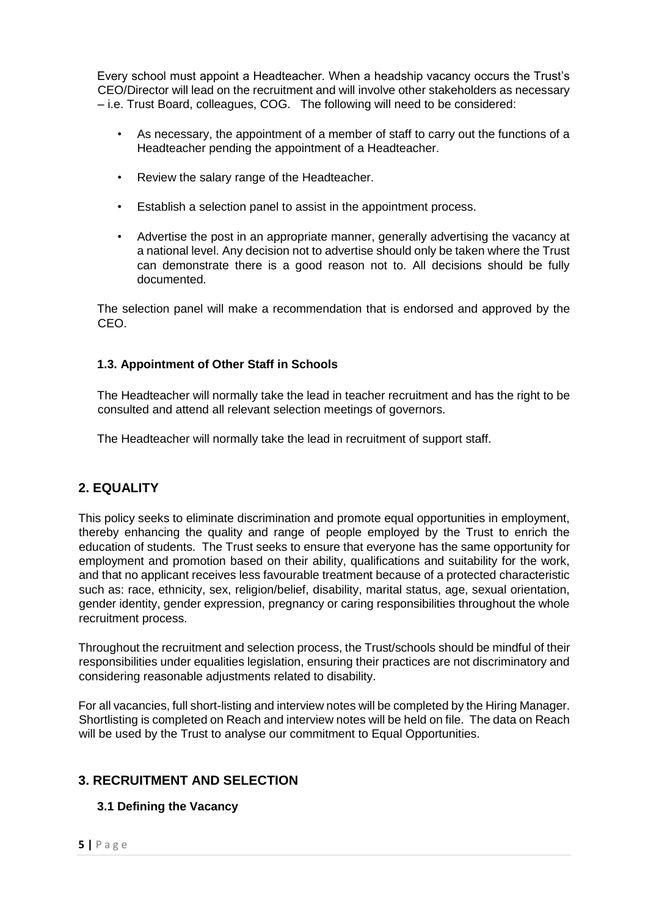Every school must appoint a Headteacher. When a headship vacancy occurs the Trust's CEO/Director will lead on the recruitment and will involve other stakeholders as necessary – i.e. Trust Board, colleagues, COG. The following will need to be considered:

- As necessary, the appointment of a member of staff to carry out the functions of a Headteacher pending the appointment of a Headteacher.
- Review the salary range of the Headteacher.
- Establish a selection panel to assist in the appointment process.
- Advertise the post in an appropriate manner, generally advertising the vacancy at a national level. Any decision not to advertise should only be taken where the Trust can demonstrate there is a good reason not to. All decisions should be fully documented.

The selection panel will make a recommendation that is endorsed and approved by the CEO.

#### **1.3. Appointment of Other Staff in Schools**

The Headteacher will normally take the lead in teacher recruitment and has the right to be consulted and attend all relevant selection meetings of governors.

The Headteacher will normally take the lead in recruitment of support staff.

# <span id="page-4-0"></span>**2. EQUALITY**

This policy seeks to eliminate discrimination and promote equal opportunities in employment, thereby enhancing the quality and range of people employed by the Trust to enrich the education of students. The Trust seeks to ensure that everyone has the same opportunity for employment and promotion based on their ability, qualifications and suitability for the work, and that no applicant receives less favourable treatment because of a protected characteristic such as: race, ethnicity, sex, religion/belief, disability, marital status, age, sexual orientation, gender identity, gender expression, pregnancy or caring responsibilities throughout the whole recruitment process.

Throughout the recruitment and selection process, the Trust/schools should be mindful of their responsibilities under equalities legislation, ensuring their practices are not discriminatory and considering reasonable adjustments related to disability.

For all vacancies, full short-listing and interview notes will be completed by the Hiring Manager. Shortlisting is completed on Reach and interview notes will be held on file. The data on Reach will be used by the Trust to analyse our commitment to Equal Opportunities.

# <span id="page-4-1"></span>**3. RECRUITMENT AND SELECTION**

# **3.1 Defining the Vacancy**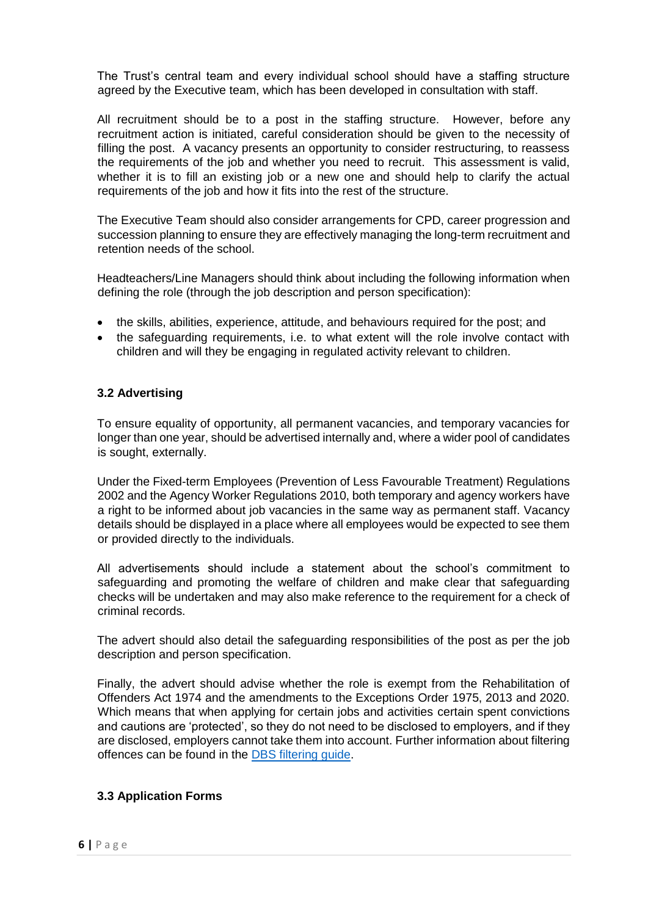The Trust's central team and every individual school should have a staffing structure agreed by the Executive team, which has been developed in consultation with staff.

All recruitment should be to a post in the staffing structure. However, before any recruitment action is initiated, careful consideration should be given to the necessity of filling the post. A vacancy presents an opportunity to consider restructuring, to reassess the requirements of the job and whether you need to recruit. This assessment is valid, whether it is to fill an existing job or a new one and should help to clarify the actual requirements of the job and how it fits into the rest of the structure.

The Executive Team should also consider arrangements for CPD, career progression and succession planning to ensure they are effectively managing the long-term recruitment and retention needs of the school.

Headteachers/Line Managers should think about including the following information when defining the role (through the job description and person specification):

- the skills, abilities, experience, attitude, and behaviours required for the post; and
- the safeguarding requirements, i.e. to what extent will the role involve contact with children and will they be engaging in regulated activity relevant to children.

#### **3.2 Advertising**

To ensure equality of opportunity, all permanent vacancies, and temporary vacancies for longer than one year, should be advertised internally and, where a wider pool of candidates is sought, externally.

Under the Fixed-term Employees (Prevention of Less Favourable Treatment) Regulations 2002 and the Agency Worker Regulations 2010, both temporary and agency workers have a right to be informed about job vacancies in the same way as permanent staff. Vacancy details should be displayed in a place where all employees would be expected to see them or provided directly to the individuals.

All advertisements should include a statement about the school's commitment to safeguarding and promoting the welfare of children and make clear that safeguarding checks will be undertaken and may also make reference to the requirement for a check of criminal records.

The advert should also detail the safeguarding responsibilities of the post as per the job description and person specification.

Finally, the advert should advise whether the role is exempt from the Rehabilitation of Offenders Act 1974 and the amendments to the Exceptions Order 1975, 2013 and 2020. Which means that when applying for certain jobs and activities certain spent convictions and cautions are 'protected', so they do not need to be disclosed to employers, and if they are disclosed, employers cannot take them into account. Further information about filtering offences can be found in the [DBS filtering guide.](https://www.gov.uk/government/publications/dbs-filtering-guidance/dbs-filtering-guide)

# **3.3 Application Forms**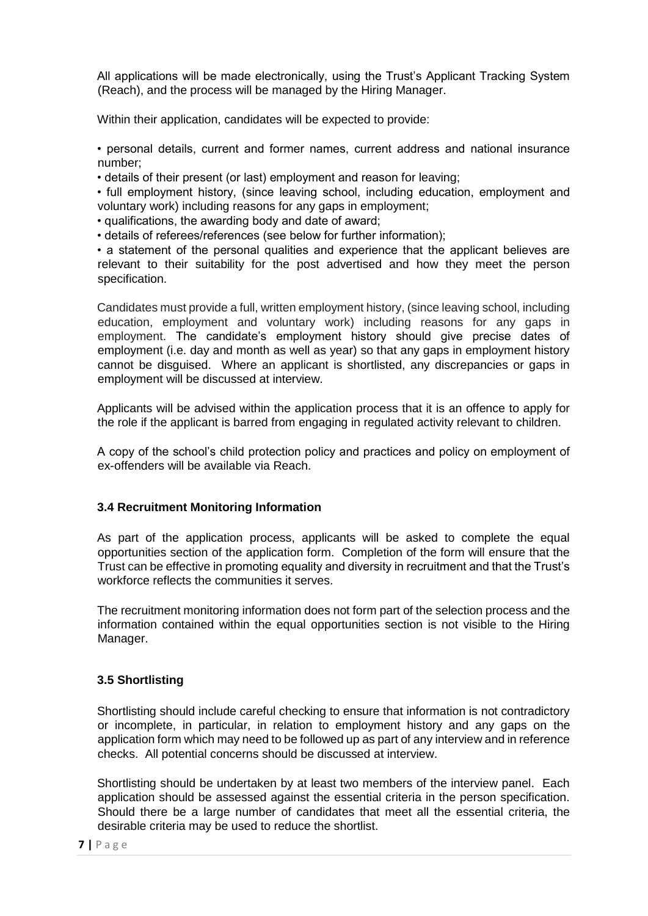All applications will be made electronically, using the Trust's Applicant Tracking System (Reach), and the process will be managed by the Hiring Manager.

Within their application, candidates will be expected to provide:

• personal details, current and former names, current address and national insurance number;

• details of their present (or last) employment and reason for leaving;

• full employment history, (since leaving school, including education, employment and voluntary work) including reasons for any gaps in employment;

• qualifications, the awarding body and date of award;

• details of referees/references (see below for further information);

• a statement of the personal qualities and experience that the applicant believes are relevant to their suitability for the post advertised and how they meet the person specification.

Candidates must provide a full, written employment history, (since leaving school, including education, employment and voluntary work) including reasons for any gaps in employment. The candidate's employment history should give precise dates of employment (i.e. day and month as well as year) so that any gaps in employment history cannot be disguised. Where an applicant is shortlisted, any discrepancies or gaps in employment will be discussed at interview.

Applicants will be advised within the application process that it is an offence to apply for the role if the applicant is barred from engaging in regulated activity relevant to children.

A copy of the school's child protection policy and practices and policy on employment of ex-offenders will be available via Reach.

#### **3.4 Recruitment Monitoring Information**

As part of the application process, applicants will be asked to complete the equal opportunities section of the application form. Completion of the form will ensure that the Trust can be effective in promoting equality and diversity in recruitment and that the Trust's workforce reflects the communities it serves.

The recruitment monitoring information does not form part of the selection process and the information contained within the equal opportunities section is not visible to the Hiring Manager.

#### **3.5 Shortlisting**

Shortlisting should include careful checking to ensure that information is not contradictory or incomplete, in particular, in relation to employment history and any gaps on the application form which may need to be followed up as part of any interview and in reference checks. All potential concerns should be discussed at interview.

Shortlisting should be undertaken by at least two members of the interview panel. Each application should be assessed against the essential criteria in the person specification. Should there be a large number of candidates that meet all the essential criteria, the desirable criteria may be used to reduce the shortlist.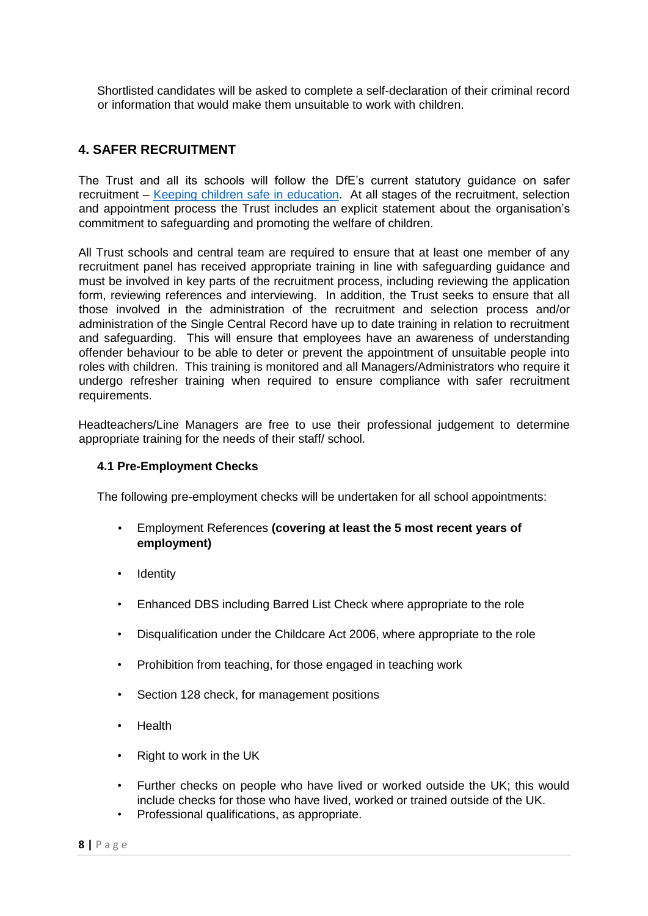Shortlisted candidates will be asked to complete a self-declaration of their criminal record or information that would make them unsuitable to work with children.

# <span id="page-7-0"></span>**4. SAFER RECRUITMENT**

The Trust and all its schools will follow the DfE's current statutory guidance on safer recruitment – [Keeping children safe in education](https://assets.publishing.service.gov.uk/government/uploads/system/uploads/attachment_data/file/1007260/Keeping_children_safe_in_education_2021.pdf)[.](https://assets.publishing.service.gov.uk/government/uploads/system/uploads/attachment_data/file/912592/Keeping_children_safe_in_education_Sep_2020.pdf) At all stages of the recruitment, selection and appointment process the Trust includes an explicit statement about the organisation's commitment to safeguarding and promoting the welfare of children.

All Trust schools and central team are required to ensure that at least one member of any recruitment panel has received appropriate training in line with safeguarding guidance and must be involved in key parts of the recruitment process, including reviewing the application form, reviewing references and interviewing. In addition, the Trust seeks to ensure that all those involved in the administration of the recruitment and selection process and/or administration of the Single Central Record have up to date training in relation to recruitment and safeguarding. This will ensure that employees have an awareness of understanding offender behaviour to be able to deter or prevent the appointment of unsuitable people into roles with children. This training is monitored and all Managers/Administrators who require it undergo refresher training when required to ensure compliance with safer recruitment requirements.

Headteachers/Line Managers are free to use their professional judgement to determine appropriate training for the needs of their staff/ school.

#### **4.1 Pre-Employment Checks**

The following pre-employment checks will be undertaken for all school appointments:

- Employment References **(covering at least the 5 most recent years of employment)**
- **Identity**
- Enhanced DBS including Barred List Check where appropriate to the role
- Disqualification under the Childcare Act 2006, where appropriate to the role
- Prohibition from teaching, for those engaged in teaching work
- Section 128 check, for management positions
- Health
- Right to work in the UK
- Further checks on people who have lived or worked outside the UK; this would include checks for those who have lived, worked or trained outside of the UK.
- Professional qualifications, as appropriate.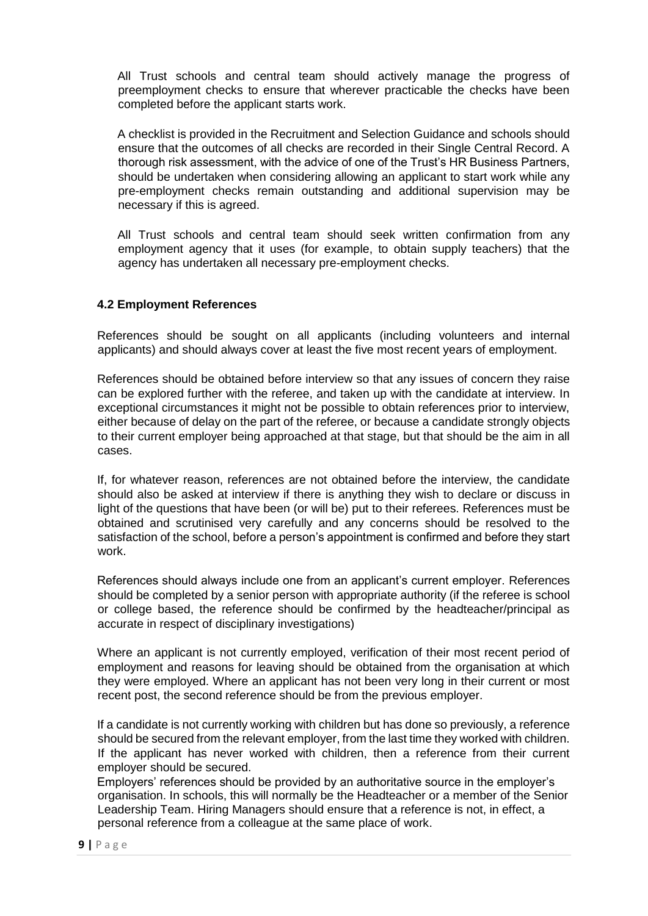All Trust schools and central team should actively manage the progress of preemployment checks to ensure that wherever practicable the checks have been completed before the applicant starts work.

A checklist is provided in the Recruitment and Selection Guidance and schools should ensure that the outcomes of all checks are recorded in their Single Central Record. A thorough risk assessment, with the advice of one of the Trust's HR Business Partners, should be undertaken when considering allowing an applicant to start work while any pre-employment checks remain outstanding and additional supervision may be necessary if this is agreed.

All Trust schools and central team should seek written confirmation from any employment agency that it uses (for example, to obtain supply teachers) that the agency has undertaken all necessary pre-employment checks.

#### **4.2 Employment References**

References should be sought on all applicants (including volunteers and internal applicants) and should always cover at least the five most recent years of employment.

References should be obtained before interview so that any issues of concern they raise can be explored further with the referee, and taken up with the candidate at interview. In exceptional circumstances it might not be possible to obtain references prior to interview, either because of delay on the part of the referee, or because a candidate strongly objects to their current employer being approached at that stage, but that should be the aim in all cases.

If, for whatever reason, references are not obtained before the interview, the candidate should also be asked at interview if there is anything they wish to declare or discuss in light of the questions that have been (or will be) put to their referees. References must be obtained and scrutinised very carefully and any concerns should be resolved to the satisfaction of the school, before a person's appointment is confirmed and before they start work.

References should always include one from an applicant's current employer. References should be completed by a senior person with appropriate authority (if the referee is school or college based, the reference should be confirmed by the headteacher/principal as accurate in respect of disciplinary investigations)

Where an applicant is not currently employed, verification of their most recent period of employment and reasons for leaving should be obtained from the organisation at which they were employed. Where an applicant has not been very long in their current or most recent post, the second reference should be from the previous employer.

If a candidate is not currently working with children but has done so previously, a reference should be secured from the relevant employer, from the last time they worked with children. If the applicant has never worked with children, then a reference from their current employer should be secured.

Employers' references should be provided by an authoritative source in the employer's organisation. In schools, this will normally be the Headteacher or a member of the Senior Leadership Team. Hiring Managers should ensure that a reference is not, in effect, a personal reference from a colleague at the same place of work.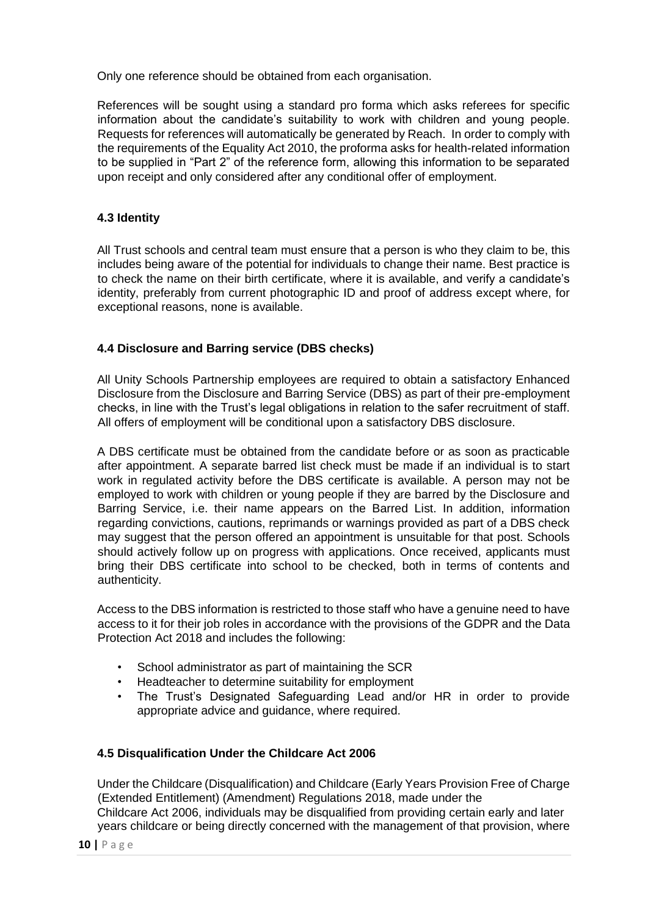Only one reference should be obtained from each organisation.

References will be sought using a standard pro forma which asks referees for specific information about the candidate's suitability to work with children and young people. Requests for references will automatically be generated by Reach. In order to comply with the requirements of the Equality Act 2010, the proforma asks for health-related information to be supplied in "Part 2" of the reference form, allowing this information to be separated upon receipt and only considered after any conditional offer of employment.

# **4.3 Identity**

All Trust schools and central team must ensure that a person is who they claim to be, this includes being aware of the potential for individuals to change their name. Best practice is to check the name on their birth certificate, where it is available, and verify a candidate's identity, preferably from current photographic ID and proof of address except where, for exceptional reasons, none is available.

# **4.4 Disclosure and Barring service (DBS checks)**

All Unity Schools Partnership employees are required to obtain a satisfactory Enhanced Disclosure from the Disclosure and Barring Service (DBS) as part of their pre-employment checks, in line with the Trust's legal obligations in relation to the safer recruitment of staff. All offers of employment will be conditional upon a satisfactory DBS disclosure.

A DBS certificate must be obtained from the candidate before or as soon as practicable after appointment. A separate barred list check must be made if an individual is to start work in regulated activity before the DBS certificate is available. A person may not be employed to work with children or young people if they are barred by the Disclosure and Barring Service, i.e. their name appears on the Barred List. In addition, information regarding convictions, cautions, reprimands or warnings provided as part of a DBS check may suggest that the person offered an appointment is unsuitable for that post. Schools should actively follow up on progress with applications. Once received, applicants must bring their DBS certificate into school to be checked, both in terms of contents and authenticity.

Access to the DBS information is restricted to those staff who have a genuine need to have access to it for their job roles in accordance with the provisions of the GDPR and the Data Protection Act 2018 and includes the following:

- School administrator as part of maintaining the SCR
- Headteacher to determine suitability for employment
- The Trust's Designated Safeguarding Lead and/or HR in order to provide appropriate advice and guidance, where required.

# **4.5 Disqualification Under the Childcare Act 2006**

Under the Childcare (Disqualification) and Childcare (Early Years Provision Free of Charge (Extended Entitlement) (Amendment) Regulations 2018, made under the Childcare Act 2006, individuals may be disqualified from providing certain early and later years childcare or being directly concerned with the management of that provision, where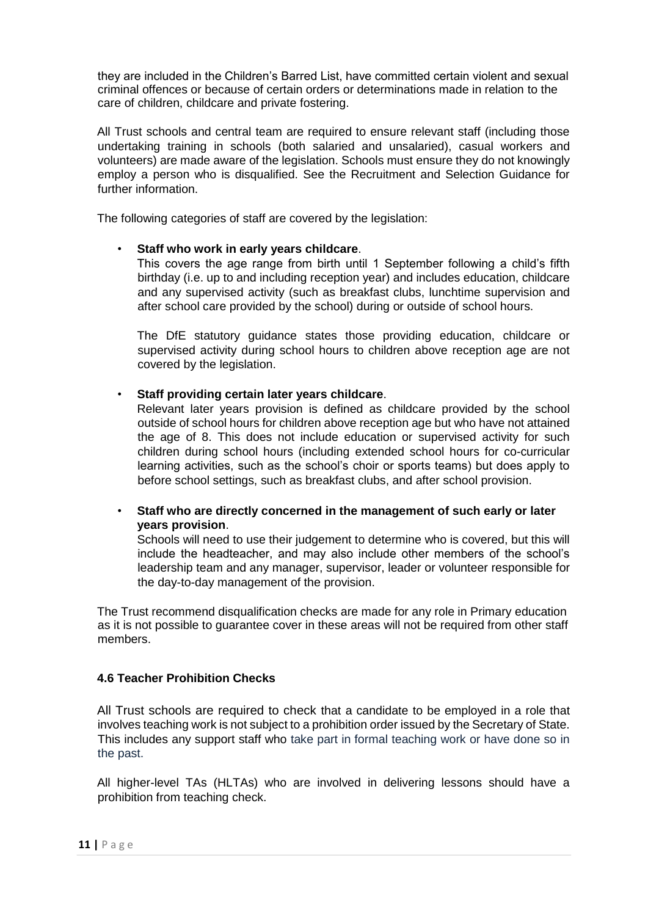they are included in the Children's Barred List, have committed certain violent and sexual criminal offences or because of certain orders or determinations made in relation to the care of children, childcare and private fostering.

All Trust schools and central team are required to ensure relevant staff (including those undertaking training in schools (both salaried and unsalaried), casual workers and volunteers) are made aware of the legislation. Schools must ensure they do not knowingly employ a person who is disqualified. See the Recruitment and Selection Guidance for further information.

The following categories of staff are covered by the legislation:

#### • **Staff who work in early years childcare**.

This covers the age range from birth until 1 September following a child's fifth birthday (i.e. up to and including reception year) and includes education, childcare and any supervised activity (such as breakfast clubs, lunchtime supervision and after school care provided by the school) during or outside of school hours.

The DfE statutory guidance states those providing education, childcare or supervised activity during school hours to children above reception age are not covered by the legislation.

• **Staff providing certain later years childcare**.

Relevant later years provision is defined as childcare provided by the school outside of school hours for children above reception age but who have not attained the age of 8. This does not include education or supervised activity for such children during school hours (including extended school hours for co-curricular learning activities, such as the school's choir or sports teams) but does apply to before school settings, such as breakfast clubs, and after school provision.

• **Staff who are directly concerned in the management of such early or later years provision**.

Schools will need to use their judgement to determine who is covered, but this will include the headteacher, and may also include other members of the school's leadership team and any manager, supervisor, leader or volunteer responsible for the day-to-day management of the provision.

The Trust recommend disqualification checks are made for any role in Primary education as it is not possible to guarantee cover in these areas will not be required from other staff members.

#### **4.6 Teacher Prohibition Checks**

All Trust schools are required to check that a candidate to be employed in a role that involves teaching work is not subject to a prohibition order issued by the Secretary of State. This includes any support staff who take part in formal teaching work or have done so in the past.

All higher-level TAs (HLTAs) who are involved in delivering lessons should have a prohibition from teaching check.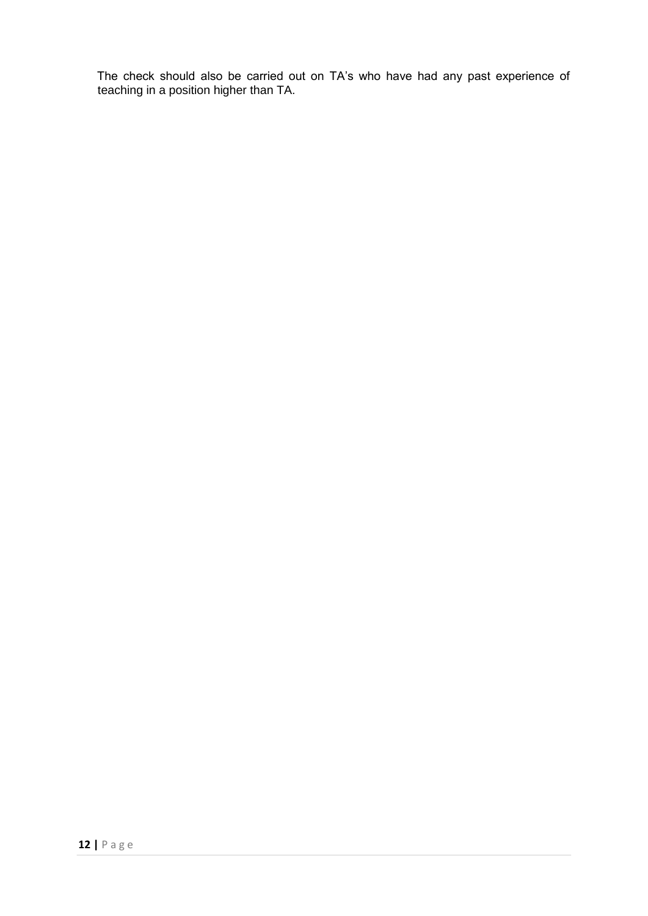The check should also be carried out on TA's who have had any past experience of teaching in a position higher than TA.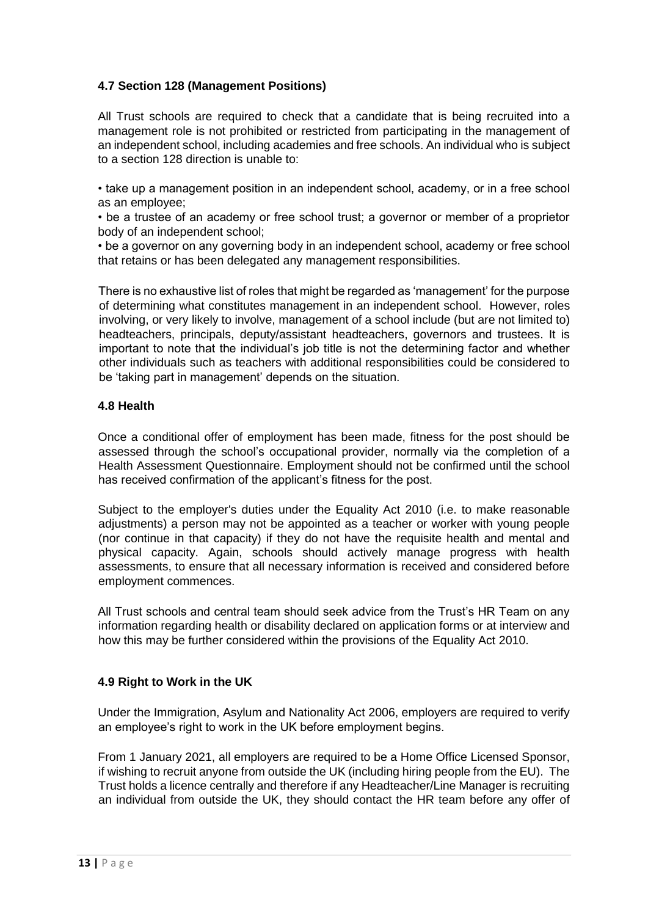# **4.7 Section 128 (Management Positions)**

All Trust schools are required to check that a candidate that is being recruited into a management role is not prohibited or restricted from participating in the management of an independent school, including academies and free schools. An individual who is subject to a section 128 direction is unable to:

• take up a management position in an independent school, academy, or in a free school as an employee;

• be a trustee of an academy or free school trust; a governor or member of a proprietor body of an independent school;

• be a governor on any governing body in an independent school, academy or free school that retains or has been delegated any management responsibilities.

There is no exhaustive list of roles that might be regarded as 'management' for the purpose of determining what constitutes management in an independent school. However, roles involving, or very likely to involve, management of a school include (but are not limited to) headteachers, principals, deputy/assistant headteachers, governors and trustees. It is important to note that the individual's job title is not the determining factor and whether other individuals such as teachers with additional responsibilities could be considered to be 'taking part in management' depends on the situation.

#### **4.8 Health**

Once a conditional offer of employment has been made, fitness for the post should be assessed through the school's occupational provider, normally via the completion of a Health Assessment Questionnaire. Employment should not be confirmed until the school has received confirmation of the applicant's fitness for the post.

Subject to the employer's duties under the Equality Act 2010 (i.e. to make reasonable adjustments) a person may not be appointed as a teacher or worker with young people (nor continue in that capacity) if they do not have the requisite health and mental and physical capacity. Again, schools should actively manage progress with health assessments, to ensure that all necessary information is received and considered before employment commences.

All Trust schools and central team should seek advice from the Trust's HR Team on any information regarding health or disability declared on application forms or at interview and how this may be further considered within the provisions of the Equality Act 2010.

#### **4.9 Right to Work in the UK**

Under the Immigration, Asylum and Nationality Act 2006, employers are required to verify an employee's right to work in the UK before employment begins.

From 1 January 2021, all employers are required to be a Home Office Licensed Sponsor, if wishing to recruit anyone from outside the UK (including hiring people from the EU). The Trust holds a licence centrally and therefore if any Headteacher/Line Manager is recruiting an individual from outside the UK, they should contact the HR team before any offer of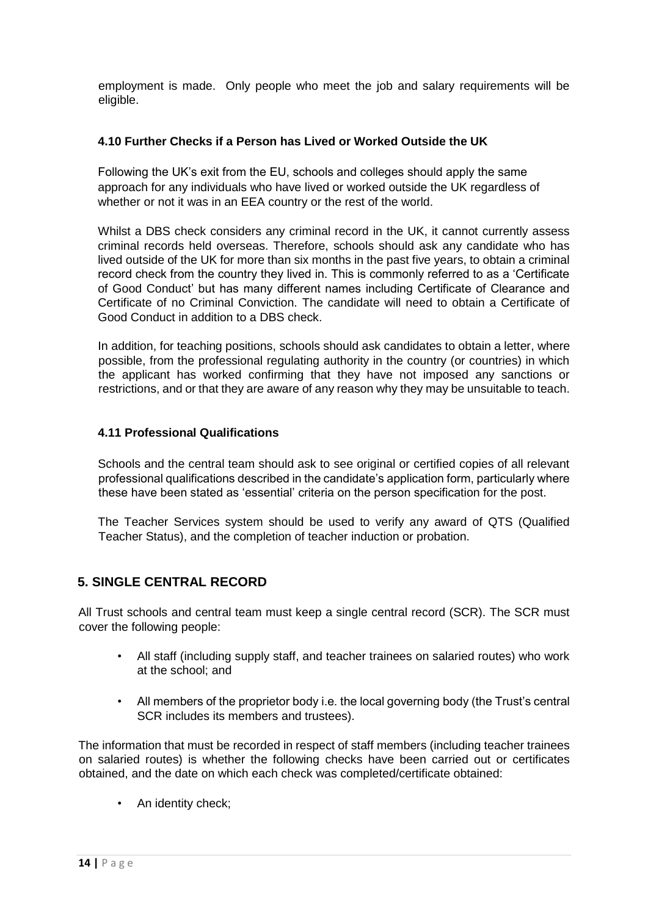employment is made. Only people who meet the job and salary requirements will be eligible.

## **4.10 Further Checks if a Person has Lived or Worked Outside the UK**

Following the UK's exit from the EU, schools and colleges should apply the same approach for any individuals who have lived or worked outside the UK regardless of whether or not it was in an EEA country or the rest of the world.

Whilst a DBS check considers any criminal record in the UK, it cannot currently assess criminal records held overseas. Therefore, schools should ask any candidate who has lived outside of the UK for more than six months in the past five years, to obtain a criminal record check from the country they lived in. This is commonly referred to as a 'Certificate of Good Conduct' but has many different names including Certificate of Clearance and Certificate of no Criminal Conviction. The candidate will need to obtain a Certificate of Good Conduct in addition to a DBS check.

In addition, for teaching positions, schools should ask candidates to obtain a letter, where possible, from the professional regulating authority in the country (or countries) in which the applicant has worked confirming that they have not imposed any sanctions or restrictions, and or that they are aware of any reason why they may be unsuitable to teach.

#### **4.11 Professional Qualifications**

Schools and the central team should ask to see original or certified copies of all relevant professional qualifications described in the candidate's application form, particularly where these have been stated as 'essential' criteria on the person specification for the post.

The Teacher Services system should be used to verify any award of QTS (Qualified Teacher Status), and the completion of teacher induction or probation.

# <span id="page-13-0"></span>**5. SINGLE CENTRAL RECORD**

All Trust schools and central team must keep a single central record (SCR). The SCR must cover the following people:

- All staff (including supply staff, and teacher trainees on salaried routes) who work at the school; and
- All members of the proprietor body i.e. the local governing body (the Trust's central SCR includes its members and trustees).

The information that must be recorded in respect of staff members (including teacher trainees on salaried routes) is whether the following checks have been carried out or certificates obtained, and the date on which each check was completed/certificate obtained:

• An identity check;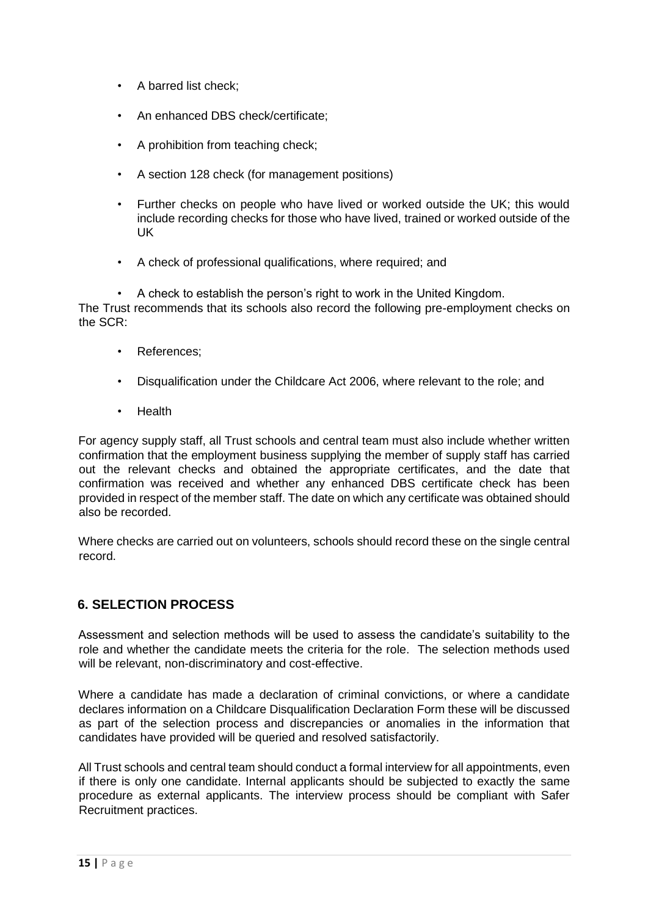- A barred list check;
- An enhanced DBS check/certificate;
- A prohibition from teaching check:
- A section 128 check (for management positions)
- Further checks on people who have lived or worked outside the UK; this would include recording checks for those who have lived, trained or worked outside of the UK
- A check of professional qualifications, where required; and

• A check to establish the person's right to work in the United Kingdom. The Trust recommends that its schools also record the following pre-employment checks on the SCR:

- References;
- Disqualification under the Childcare Act 2006, where relevant to the role; and
- Health

For agency supply staff, all Trust schools and central team must also include whether written confirmation that the employment business supplying the member of supply staff has carried out the relevant checks and obtained the appropriate certificates, and the date that confirmation was received and whether any enhanced DBS certificate check has been provided in respect of the member staff. The date on which any certificate was obtained should also be recorded.

Where checks are carried out on volunteers, schools should record these on the single central record.

# <span id="page-14-0"></span>**6. SELECTION PROCESS**

Assessment and selection methods will be used to assess the candidate's suitability to the role and whether the candidate meets the criteria for the role. The selection methods used will be relevant, non-discriminatory and cost-effective.

Where a candidate has made a declaration of criminal convictions, or where a candidate declares information on a Childcare Disqualification Declaration Form these will be discussed as part of the selection process and discrepancies or anomalies in the information that candidates have provided will be queried and resolved satisfactorily.

All Trust schools and central team should conduct a formal interview for all appointments, even if there is only one candidate. Internal applicants should be subjected to exactly the same procedure as external applicants. The interview process should be compliant with Safer Recruitment practices.